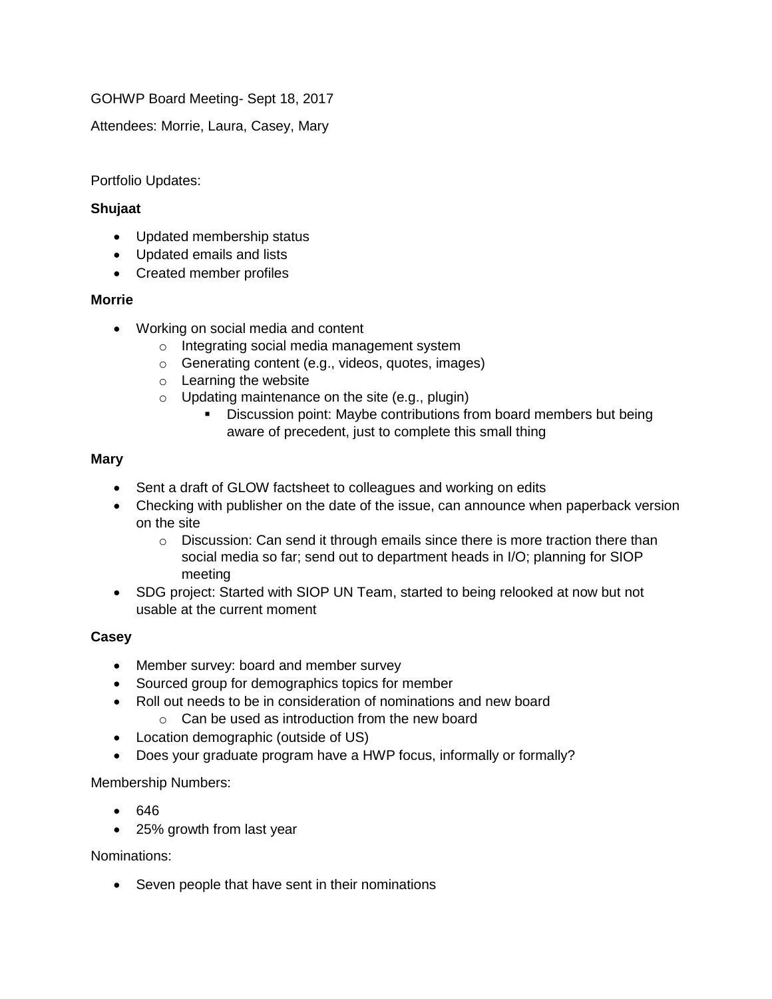GOHWP Board Meeting- Sept 18, 2017

Attendees: Morrie, Laura, Casey, Mary

Portfolio Updates:

# **Shujaat**

- Updated membership status
- Updated emails and lists
- Created member profiles

## **Morrie**

- Working on social media and content
	- o Integrating social media management system
	- o Generating content (e.g., videos, quotes, images)
	- o Learning the website
	- $\circ$  Updating maintenance on the site (e.g., plugin)
		- **EXECTS:** Discussion point: Maybe contributions from board members but being aware of precedent, just to complete this small thing

## **Mary**

- Sent a draft of GLOW factsheet to colleagues and working on edits
- Checking with publisher on the date of the issue, can announce when paperback version on the site
	- o Discussion: Can send it through emails since there is more traction there than social media so far; send out to department heads in I/O; planning for SIOP meeting
- SDG project: Started with SIOP UN Team, started to being relooked at now but not usable at the current moment

### **Casey**

- Member survey: board and member survey
- Sourced group for demographics topics for member
- Roll out needs to be in consideration of nominations and new board
	- $\circ$  Can be used as introduction from the new board
- Location demographic (outside of US)
- Does your graduate program have a HWP focus, informally or formally?

### Membership Numbers:

- 646
- 25% growth from last year

Nominations:

• Seven people that have sent in their nominations